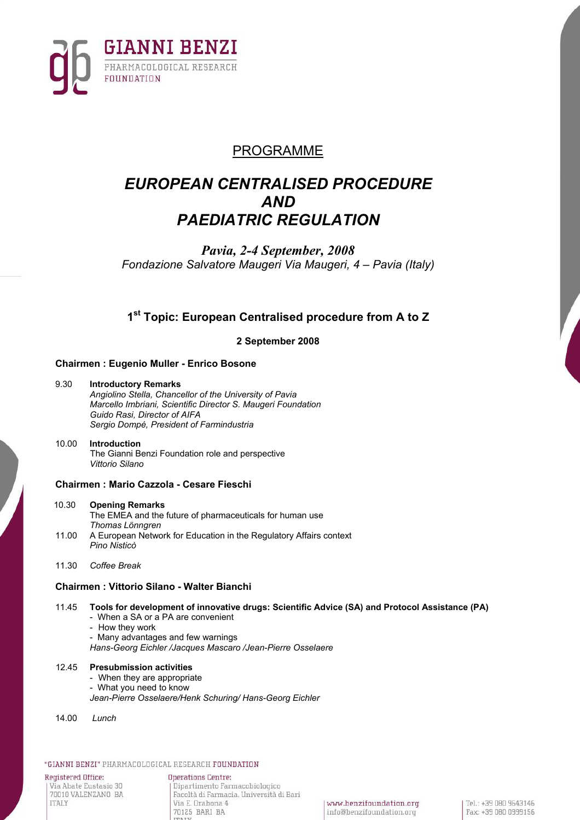

# PROGRAMME

# *EUROPEAN CENTRALISED PROCEDURE AND PAEDIATRIC REGULATION*

*Pavia, 2-4 September, 2008 Fondazione Salvatore Maugeri Via Maugeri, 4 – Pavia (Italy)* 

# **1st Topic: European Centralised procedure from A to Z**

**2 September 2008** 

# **Chairmen : Eugenio Muller - Enrico Bosone**

### 9.30 **Introductory Remarks**

*Angiolino Stella, Chancellor of the University of Pavia Marcello Imbriani, Scientific Director S. Maugeri Foundation Guido Rasi, Director of AIFA Sergio Dompé, President of Farmindustria* 

### 10.00 **Introduction** The Gianni Benzi Foundation role and perspective *Vittorio Silano*

# **Chairmen : Mario Cazzola - Cesare Fieschi**

### 10.30 **Opening Remarks**

The EMEA and the future of pharmaceuticals for human use *Thomas Lönngren*

- 11.00 A European Network for Education in the Regulatory Affairs context *Pino Nisticò*
- 11.30 *Coffee Break*

# **Chairmen : Vittorio Silano - Walter Bianchi**

## 11.45 **Tools for development of innovative drugs: Scientific Advice (SA) and Protocol Assistance (PA)**

- When a SA or a PA are convenient
- How they work
- Many advantages and few warnings
- *Hans-Georg Eichler /Jacques Mascaro /Jean-Pierre Osselaere*

### 12.45 **Presubmission activities**

- When they are appropriate
- What you need to know
- *Jean-Pierre Osselaere/Henk Schuring/ Hans-Georg Eichler*
- 14.00 *Lunch*

### "GIANNI BENZI" PHARMACOLOGICAL RESEARCH FOUNDATION

Registered Office: Via Abate Eustasio 30 70010 VALENZANO BA **ITALY** 

**Operations Centre:** Dipartimento Farmacobiologico Facoltà di Farmacia, Università di Bari Via E. Orabona 4 70125 BARI BA

www.benzifoundation.org info@benzifoundation.org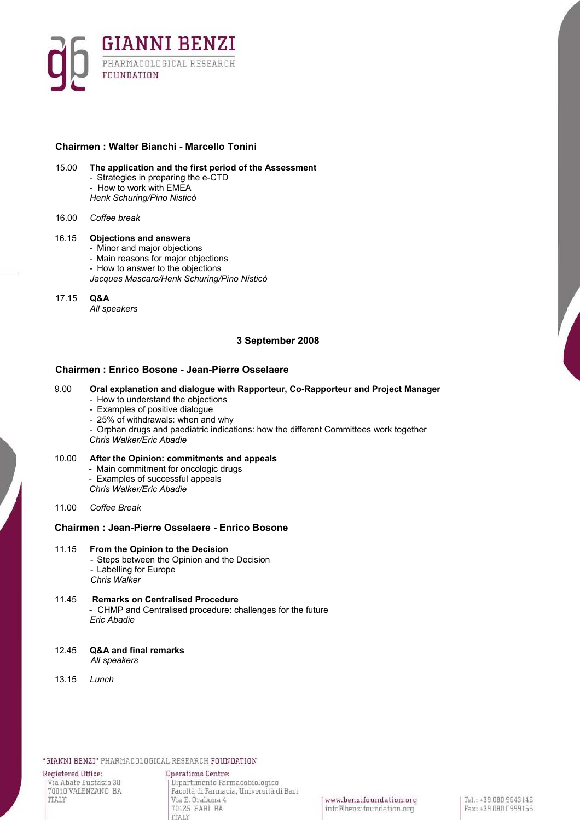

## **Chairmen : Walter Bianchi - Marcello Tonini**

15.00 **The application and the first period of the Assessment** 

- Strategies in preparing the e-CTD - How to work with EMEA
- *Henk Schuring/Pino Nisticò*
- 16.00 *Coffee break*

### 16.15 **Objections and answers**

- Minor and major objections
- Main reasons for major objections
- How to answer to the objections
- *Jacques Mascaro/Henk Schuring/Pino Nisticò*

# 17.15 **Q&A**

*All speakers* 

# **3 September 2008**

# **Chairmen : Enrico Bosone - Jean-Pierre Osselaere**

### 9.00 **Oral explanation and dialogue with Rapporteur, Co-Rapporteur and Project Manager**

- How to understand the objections
- Examples of positive dialogue
- 25% of withdrawals: when and why
- Orphan drugs and paediatric indications: how the different Committees work together
- *Chris Walker/Eric Abadie*

### 10.00 **After the Opinion: commitments and appeals**

- Main commitment for oncologic drugs
- Examples of successful appeals
- *Chris Walker/Eric Abadie*

11.00 *Coffee Break*

## **Chairmen : Jean-Pierre Osselaere - Enrico Bosone**

- 11.15 **From the Opinion to the Decision**  - Steps between the Opinion and the Decision - Labelling for Europe *Chris Walker*
- 11.45 **Remarks on Centralised Procedure**  - CHMP and Centralised procedure: challenges for the future *Eric Abadie*
- 12.45 **Q&A and final remarks**  *All speakers*
- 13.15 *Lunch*

"GIANNI BENZI" PHARMACOLOGICAL RESEARCH FOUNDATION

Registered Office: Via Abate Eustasio 30 70010 VALENZANO BA **ITALY** 

**Operations Centre:** .<br>Dipartimento Farmacobiologico Facoltà di Farmacia, Università di Bari Via E. Orabona 4 70125 BARI BA **ITALY** 

www.benzifoundation.org info@benzifoundation.org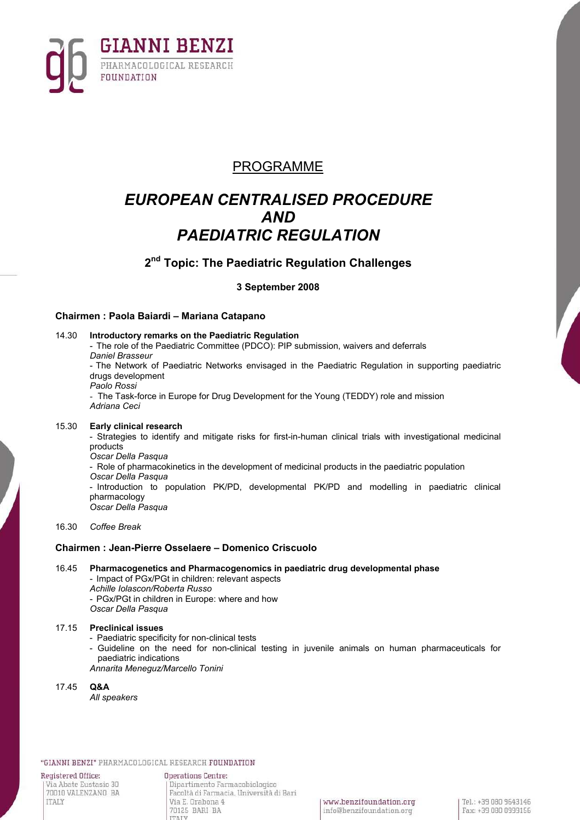

# PROGRAMME

# *EUROPEAN CENTRALISED PROCEDURE AND PAEDIATRIC REGULATION*

**2nd Topic: The Paediatric Regulation Challenges** 

**3 September 2008** 

# **Chairmen : Paola Baiardi – Mariana Catapano**

14.30 **Introductory remarks on the Paediatric Regulation**  - The role of the Paediatric Committee (PDCO): PIP submission, waivers and deferrals *Daniel Brasseur*  - The Network of Paediatric Networks envisaged in the Paediatric Regulation in supporting paediatric drugs development *Paolo Rossi*  - The Task-force in Europe for Drug Development for the Young (TEDDY) role and mission *Adriana Ceci*

### 15.30 **Early clinical research**

- Strategies to identify and mitigate risks for first-in-human clinical trials with investigational medicinal products *Oscar Della Pasqua* 

- Role of pharmacokinetics in the development of medicinal products in the paediatric population
- *Oscar Della Pasqua*

- Introduction to population PK/PD, developmental PK/PD and modelling in paediatric clinical pharmacology *Oscar Della Pasqua* 

16.30 *Coffee Break*

## **Chairmen : Jean-Pierre Osselaere – Domenico Criscuolo**

16.45 **Pharmacogenetics and Pharmacogenomics in paediatric drug developmental phase**  - Impact of PGx/PGt in children: relevant aspects

*Achille Iolascon/Roberta Russo*  - PGx/PGt in children in Europe: where and how *Oscar Della Pasqua* 

## 17.15 **Preclinical issues**

- Paediatric specificity for non-clinical tests
- Guideline on the need for non-clinical testing in juvenile animals on human pharmaceuticals for paediatric indications

*Annarita Meneguz/Marcello Tonini* 

17.45 **Q&A** 

*All speakers* 

"GIANNI BENZI" PHARMACOLOGICAL RESEARCH FOUNDATION

Registered Office: Via Abate Eustasio 30 70010 VALENZANO BA **ITALY** 

**Operations Centre:** Dipartimento Farmacobiologico Facoltà di Farmacia, Università di Bari Via E. Drabona 4 70125 BARI BA **TTAIN**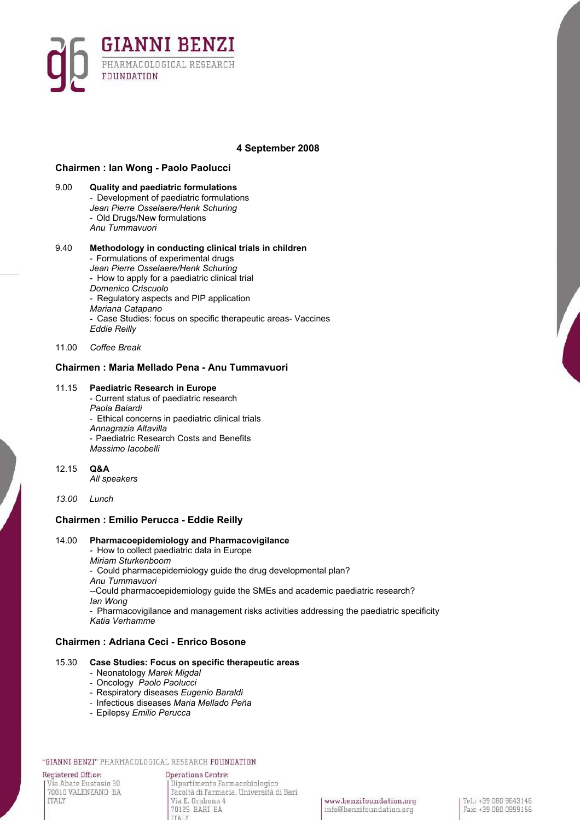

## **4 September 2008**

### **Chairmen : Ian Wong - Paolo Paolucci**

9.00 **Quality and paediatric formulations** - Development of paediatric formulations *Jean Pierre Osselaere/Henk Schuring*  - Old Drugs/New formulations *Anu Tummavuori* 

#### 9.40 **Methodology in conducting clinical trials in children** - Formulations of experimental drugs *Jean Pierre Osselaere/Henk Schuring* - How to apply for a paediatric clinical trial

*Domenico Criscuolo* 

- 
- Regulatory aspects and PIP application
- *Mariana Catapano*
- Case Studies: focus on specific therapeutic areas- Vaccines *Eddie Reilly*
- 11.00 *Coffee Break*

# **Chairmen : Maria Mellado Pena - Anu Tummavuori**

### 11.15 **Paediatric Research in Europe**

- Current status of paediatric research *Paola Baiardi*  - Ethical concerns in paediatric clinical trials *Annagrazia Altavilla*  - Paediatric Research Costs and Benefits *Massimo Iacobelli*
- 12.15 **Q&A**

*All speakers* 

## *13.00 Lunch*

## **Chairmen : Emilio Perucca - Eddie Reilly**

### 14.00 **Pharmacoepidemiology and Pharmacovigilance**

- How to collect paediatric data in Europe
- *Miriam Sturkenboom*

- Could pharmacepidemiology guide the drug developmental plan?

*Anu Tummavuori* 

*-*-Could pharmacoepidemiology guide the SMEs and academic paediatric research? *Ian Wong* 

- Pharmacovigilance and management risks activities addressing the paediatric specificity *Katia Verhamme* 

## **Chairmen : Adriana Ceci - Enrico Bosone**

### 15.30 **Case Studies: Focus on specific therapeutic areas**

- Neonatology *Marek Migdal*
- Oncology *Paolo Paolucci*
- Respiratory diseases *Eugenio Baraldi*
- Infectious diseases *Maria Mellado Peña*

**TTATY** 

- Epilepsy *Emilio Perucca*

#### "GIANNI BENZI" PHARMACOLOGICAL RESEARCH FOUNDATION

Registered Office: Via Abate Eustasio 30 70010 VALENZANO BA **ITALY** 

**Operations Centre:** Dipartimento Farmacobiologico Facoltà di Farmacia, Università di Bari Via E. Orabona 4 70125 BARI BA

www.benzifoundation.org info@benzifoundation.org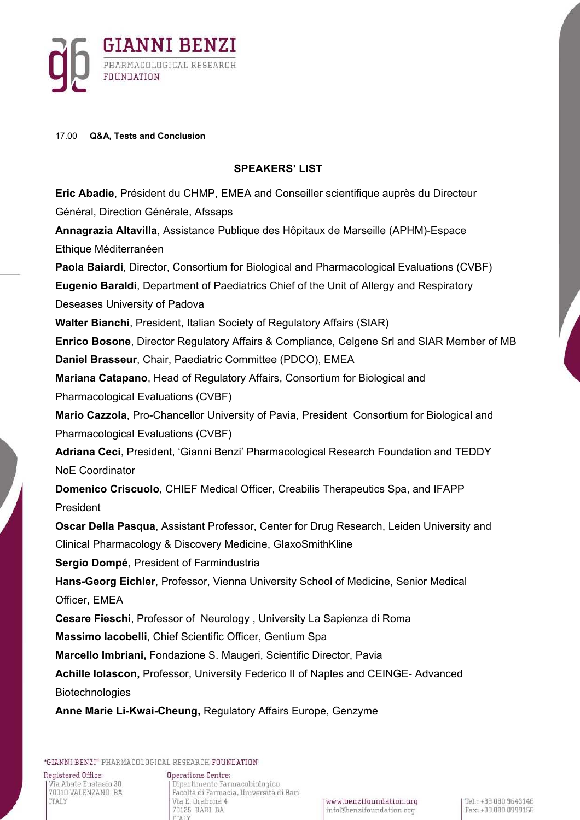

# 17.00 **Q&A, Tests and Conclusion**

# **SPEAKERS' LIST**

**Eric Abadie**, Président du CHMP, EMEA and Conseiller scientifique auprès du Directeur Général, Direction Générale, Afssaps **Annagrazia Altavilla**, Assistance Publique des Hôpitaux de Marseille (APHM)-Espace Ethique Méditerranéen **Paola Baiardi**, Director, Consortium for Biological and Pharmacological Evaluations (CVBF) **Eugenio Baraldi**, Department of Paediatrics Chief of the Unit of Allergy and Respiratory Deseases University of Padova **Walter Bianchi**, President, Italian Society of Regulatory Affairs (SIAR) **Enrico Bosone**, Director Regulatory Affairs & Compliance, Celgene Srl and SIAR Member of MB **Daniel Brasseur**, Chair, Paediatric Committee (PDCO), EMEA **Mariana Catapano**, Head of Regulatory Affairs, Consortium for Biological and Pharmacological Evaluations (CVBF) **Mario Cazzola**, Pro-Chancellor University of Pavia, President Consortium for Biological and Pharmacological Evaluations (CVBF) **Adriana Ceci**, President, 'Gianni Benzi' Pharmacological Research Foundation and TEDDY NoE Coordinator **Domenico Criscuolo**, CHIEF Medical Officer, Creabilis Therapeutics Spa, and IFAPP President **Oscar Della Pasqua**, Assistant Professor, Center for Drug Research, Leiden University and Clinical Pharmacology & Discovery Medicine, GlaxoSmithKline **Sergio Dompé**, President of Farmindustria **Hans-Georg Eichler**, Professor, Vienna University School of Medicine, Senior Medical Officer, EMEA **Cesare Fieschi**, Professor of Neurology , University La Sapienza di Roma **Massimo Iacobelli**, Chief Scientific Officer, Gentium Spa **Marcello Imbriani,** Fondazione S. Maugeri, Scientific Director, Pavia **Achille Iolascon,** Professor, University Federico II of Naples and CEINGE- Advanced Biotechnologies **Anne Marie Li-Kwai-Cheung,** Regulatory Affairs Europe, Genzyme

"GIANNI BENZI" PHARMACOLOGICAL RESEARCH FOUNDATION

Registered Office: Via Abate Eustasio 30 70010 VALENZANO BA **ITALY** 

**Operations Centre:** Dipartimento Farmacobiologico Facoltà di Farmacia, Università di Bari Via E. Orabona 4 70125 BARI BA **TTAIV**